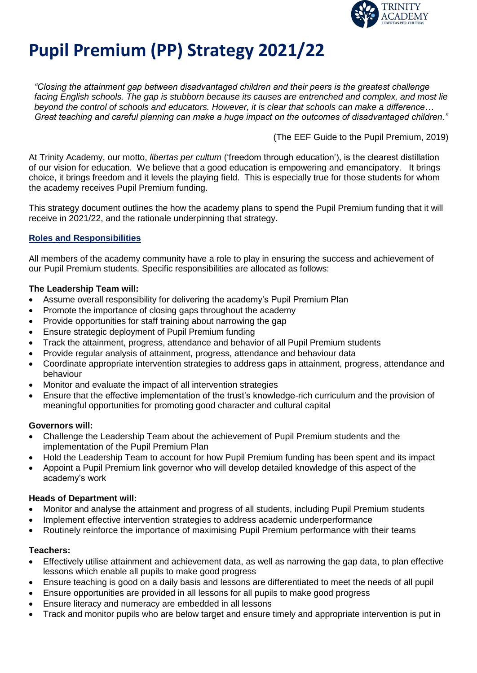

# **Pupil Premium (PP) Strategy 2021/22**

*"Closing the attainment gap between disadvantaged children and their peers is the greatest challenge facing English schools. The gap is stubborn because its causes are entrenched and complex, and most lie beyond the control of schools and educators. However, it is clear that schools can make a difference… Great teaching and careful planning can make a huge impact on the outcomes of disadvantaged children."*

(The EEF Guide to the Pupil Premium, 2019)

At Trinity Academy, our motto, *libertas per cultum* ('freedom through education'), is the clearest distillation of our vision for education. We believe that a good education is empowering and emancipatory. It brings choice, it brings freedom and it levels the playing field. This is especially true for those students for whom the academy receives Pupil Premium funding.

This strategy document outlines the how the academy plans to spend the Pupil Premium funding that it will receive in 2021/22, and the rationale underpinning that strategy.

# **Roles and Responsibilities**

All members of the academy community have a role to play in ensuring the success and achievement of our Pupil Premium students. Specific responsibilities are allocated as follows:

#### **The Leadership Team will:**

- Assume overall responsibility for delivering the academy's Pupil Premium Plan
- Promote the importance of closing gaps throughout the academy
- Provide opportunities for staff training about narrowing the gap
- Ensure strategic deployment of Pupil Premium funding
- Track the attainment, progress, attendance and behavior of all Pupil Premium students
- Provide regular analysis of attainment, progress, attendance and behaviour data
- Coordinate appropriate intervention strategies to address gaps in attainment, progress, attendance and behaviour
- Monitor and evaluate the impact of all intervention strategies
- Ensure that the effective implementation of the trust's knowledge-rich curriculum and the provision of meaningful opportunities for promoting good character and cultural capital

#### **Governors will:**

- Challenge the Leadership Team about the achievement of Pupil Premium students and the implementation of the Pupil Premium Plan
- Hold the Leadership Team to account for how Pupil Premium funding has been spent and its impact
- Appoint a Pupil Premium link governor who will develop detailed knowledge of this aspect of the academy's work

#### **Heads of Department will:**

- Monitor and analyse the attainment and progress of all students, including Pupil Premium students
- Implement effective intervention strategies to address academic underperformance
- Routinely reinforce the importance of maximising Pupil Premium performance with their teams

#### **Teachers:**

- Effectively utilise attainment and achievement data, as well as narrowing the gap data, to plan effective lessons which enable all pupils to make good progress
- Ensure teaching is good on a daily basis and lessons are differentiated to meet the needs of all pupil
- Ensure opportunities are provided in all lessons for all pupils to make good progress
- Ensure literacy and numeracy are embedded in all lessons
- Track and monitor pupils who are below target and ensure timely and appropriate intervention is put in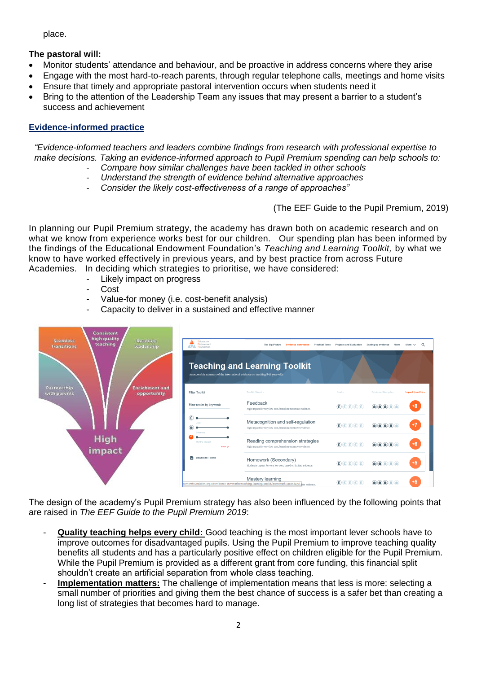place.

# **The pastoral will:**

- Monitor students' attendance and behaviour, and be proactive in address concerns where they arise
- Engage with the most hard-to-reach parents, through regular telephone calls, meetings and home visits
- Ensure that timely and appropriate pastoral intervention occurs when students need it
- Bring to the attention of the Leadership Team any issues that may present a barrier to a student's success and achievement

# **Evidence-informed practice**

*"Evidence-informed teachers and leaders combine findings from research with professional expertise to make decisions. Taking an evidence-informed approach to Pupil Premium spending can help schools to:*

- *Compare how similar challenges have been tackled in other schools*
- *Understand the strength of evidence behind alternative approaches*
- *Consider the likely cost-effectiveness of a range of approaches"*

(The EEF Guide to the Pupil Premium, 2019)

In planning our Pupil Premium strategy, the academy has drawn both on academic research and on what we know from experience works best for our children. Our spending plan has been informed by the findings of the Educational Endowment Foundation's *Teaching and Learning Toolkit,* by what we know to have worked effectively in previous years, and by best practice from across Future Academies. In deciding which strategies to prioritise, we have considered:

- Likely impact on progress
- Cost
- Value-for money (i.e. cost-benefit analysis)
- Capacity to deliver in a sustained and effective manner

| Consistent<br>high quality<br>Resolute<br><b>Seamless</b><br>teaching<br>leadership.<br>transitions | Education<br>Endowment<br><b>AVA</b> Foundation<br>An accessible summary of the international evidence on teaching 5-16 year-olds | The Big Picture<br><b>Practical Tools</b><br><b>Evidence summaries</b><br><b>Teaching and Learning Toolkit</b> | <b>Projects and Evaluation</b>                                                                                                                                                                                                                                                                                                         | Scaling up evidence<br>News                                                                                                                                                                                                                                                                                                                                                                                                                                                      | $\Omega$<br>More $\vee$ |
|-----------------------------------------------------------------------------------------------------|-----------------------------------------------------------------------------------------------------------------------------------|----------------------------------------------------------------------------------------------------------------|----------------------------------------------------------------------------------------------------------------------------------------------------------------------------------------------------------------------------------------------------------------------------------------------------------------------------------------|----------------------------------------------------------------------------------------------------------------------------------------------------------------------------------------------------------------------------------------------------------------------------------------------------------------------------------------------------------------------------------------------------------------------------------------------------------------------------------|-------------------------|
| Partnership<br><b>Enrichment and</b><br>with parents.<br>opportunity                                | <b>Filter Toolkit</b>                                                                                                             | Toolkit Strand -                                                                                               | $Cost -$                                                                                                                                                                                                                                                                                                                               | Evidence Strength -                                                                                                                                                                                                                                                                                                                                                                                                                                                              | Impact (months) -       |
|                                                                                                     | Filter results by keywords                                                                                                        | Feedback<br>High impact for very low cost, based on moderate evidence.                                         | E(E)E(E)E                                                                                                                                                                                                                                                                                                                              | $\textcircled{\textcolor{blue}{\textbf{a}}} \textcircled{\textcolor{blue}{\textbf{a}}} \textcircled{\textcolor{blue}{\textbf{a}}} \textcircled{\textcolor{blue}{\textbf{a}}}$                                                                                                                                                                                                                                                                                                    | $+8$                    |
|                                                                                                     | E)<br>Ŧ<br>Evidence                                                                                                               | Metacognition and self-regulation<br>High impact for very low cost, based on extensive evidence.               | E(E)E(E)E                                                                                                                                                                                                                                                                                                                              | $\textcolor{red}{\bigcirc \hspace{-1.5mm} \bigcirc \hspace{-1.5mm} \bigcirc \hspace{-1.5mm} \bigcirc \hspace{-1.5mm} \bigcirc \hspace{-1.5mm} \bigcirc \hspace{-1.5mm} \bigcirc \hspace{-1.5mm} \bigcirc \hspace{-1.5mm} \bigcirc \hspace{-1.5mm} \bigcirc \hspace{-1.5mm} \bigcirc \hspace{-1.5mm} \bigcirc \hspace{-1.5mm} \bigcirc \hspace{-1.5mm} \bigcirc \hspace{-1.5mm} \bigcirc \hspace{-1.5mm} \bigcirc \hspace{-1.5mm} \bigcirc \hspace{-1.5mm} \bigcirc \hspace{-1.5$ | $+7$                    |
| <b>High</b><br>impact                                                                               | Months Impact<br>Reset Q                                                                                                          | Reading comprehension strategies<br>High impact for very low cost, based on extensive evidence.                | $\left(\begin{matrix}\mathbf{f} \\ \mathbf{f} \end{matrix}\right) \left(\begin{matrix}\mathbf{f} \\ \mathbf{f} \end{matrix}\right) \left(\begin{matrix}\mathbf{f} \\ \mathbf{f} \end{matrix}\right) \left(\begin{matrix}\mathbf{f} \\ \mathbf{f} \end{matrix}\right) \left(\begin{matrix}\mathbf{f} \\ \mathbf{f} \end{matrix}\right)$ | $\textcircled{\textcolor{blue}{0}} \textcircled{\textcolor{blue}{0}} \textcircled{\textcolor{blue}{0}} \textcircled{\textcolor{blue}{0}} \textcircled{\textcolor{blue}{0}}$                                                                                                                                                                                                                                                                                                      | $+6$                    |
|                                                                                                     | Download Toolkit                                                                                                                  | Homework (Secondary)<br>Moderate impact for very low cost, based on limited evidence.                          | E(E)E(E)E                                                                                                                                                                                                                                                                                                                              | $\textcolor{red}{\textcircled{\textup{h}}\textcircled{\textup{h}}\textcircled{\textup{h}}\textcircled{\textup{h}}}$                                                                                                                                                                                                                                                                                                                                                              | $+5$                    |
|                                                                                                     |                                                                                                                                   | Mastery learning<br>wmentfoundation.org.uk/evidence-summaries/teaching-learning-toolkit/homework-secondary/    | E(E)E(E)                                                                                                                                                                                                                                                                                                                               | $\textcircled{\textsf{A}}$                                                                                                                                                                                                                                                                                                                                                                                                                                                       | +5                      |

The design of the academy's Pupil Premium strategy has also been influenced by the following points that are raised in *The EEF Guide to the Pupil Premium 2019*:

- **Quality teaching helps every child:** Good teaching is the most important lever schools have to improve outcomes for disadvantaged pupils. Using the Pupil Premium to improve teaching quality benefits all students and has a particularly positive effect on children eligible for the Pupil Premium. While the Pupil Premium is provided as a different grant from core funding, this financial split shouldn't create an artificial separation from whole class teaching.
- **Implementation matters:** The challenge of implementation means that less is more: selecting a small number of priorities and giving them the best chance of success is a safer bet than creating a long list of strategies that becomes hard to manage.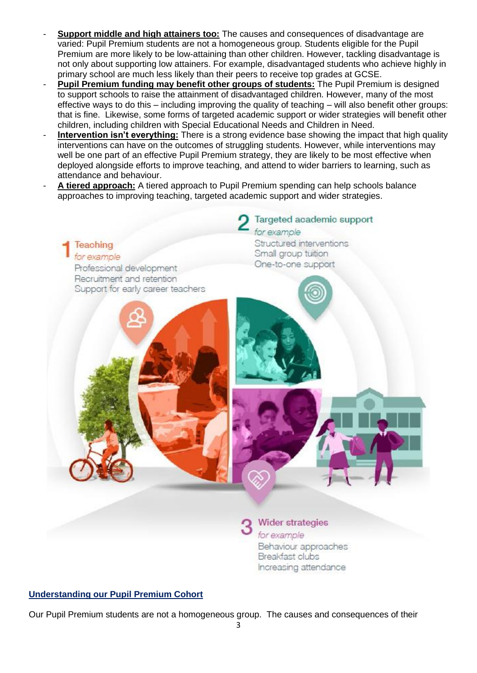- **Support middle and high attainers too:** The causes and consequences of disadvantage are varied: Pupil Premium students are not a homogeneous group. Students eligible for the Pupil Premium are more likely to be low-attaining than other children. However, tackling disadvantage is not only about supporting low attainers. For example, disadvantaged students who achieve highly in primary school are much less likely than their peers to receive top grades at GCSE.
- **Pupil Premium funding may benefit other groups of students:** The Pupil Premium is designed to support schools to raise the attainment of disadvantaged children. However, many of the most effective ways to do this – including improving the quality of teaching – will also benefit other groups: that is fine. Likewise, some forms of targeted academic support or wider strategies will benefit other children, including children with Special Educational Needs and Children in Need.
- **Intervention isn't everything:** There is a strong evidence base showing the impact that high quality interventions can have on the outcomes of struggling students. However, while interventions may well be one part of an effective Pupil Premium strategy, they are likely to be most effective when deployed alongside efforts to improve teaching, and attend to wider barriers to learning, such as attendance and behaviour.
- **A tiered approach:** A tiered approach to Pupil Premium spending can help schools balance approaches to improving teaching, targeted academic support and wider strategies.



**Understanding our Pupil Premium Cohort**

Our Pupil Premium students are not a homogeneous group. The causes and consequences of their

Breakfast clubs

Increasing attendance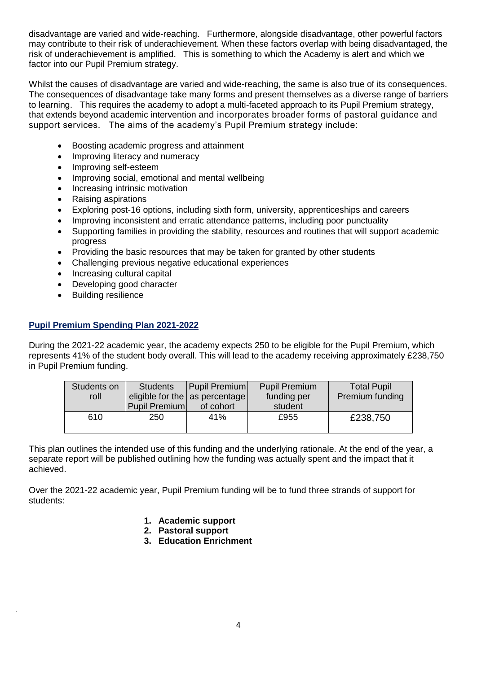disadvantage are varied and wide-reaching. Furthermore, alongside disadvantage, other powerful factors may contribute to their risk of underachievement. When these factors overlap with being disadvantaged, the risk of underachievement is amplified. This is something to which the Academy is alert and which we factor into our Pupil Premium strategy.

Whilst the causes of disadvantage are varied and wide-reaching, the same is also true of its consequences. The consequences of disadvantage take many forms and present themselves as a diverse range of barriers to learning. This requires the academy to adopt a multi-faceted approach to its Pupil Premium strategy, that extends beyond academic intervention and incorporates broader forms of pastoral guidance and support services. The aims of the academy's Pupil Premium strategy include:

- Boosting academic progress and attainment
- Improving literacy and numeracy
- Improving self-esteem
- Improving social, emotional and mental wellbeing
- Increasing intrinsic motivation
- Raising aspirations
- Exploring post-16 options, including sixth form, university, apprenticeships and careers
- Improving inconsistent and erratic attendance patterns, including poor punctuality
- Supporting families in providing the stability, resources and routines that will support academic progress
- Providing the basic resources that may be taken for granted by other students
- Challenging previous negative educational experiences
- Increasing cultural capital
- Developing good character
- Building resilience

# **Pupil Premium Spending Plan 2021-2022**

During the 2021-22 academic year, the academy expects 250 to be eligible for the Pupil Premium, which represents 41% of the student body overall. This will lead to the academy receiving approximately £238,750 in Pupil Premium funding.

| Students on<br>roll | <b>Students</b><br>Pupil Premium | <b>Pupil Premium</b><br>eligible for the as percentage<br>of cohort | <b>Pupil Premium</b><br>funding per<br>student | <b>Total Pupil</b><br>Premium funding |
|---------------------|----------------------------------|---------------------------------------------------------------------|------------------------------------------------|---------------------------------------|
| 610                 | 250                              | 41%                                                                 | £955                                           | £238,750                              |

This plan outlines the intended use of this funding and the underlying rationale. At the end of the year, a separate report will be published outlining how the funding was actually spent and the impact that it achieved.

Over the 2021-22 academic year, Pupil Premium funding will be to fund three strands of support for students:

- **1. Academic support**
- **2. Pastoral support**
- **3. Education Enrichment**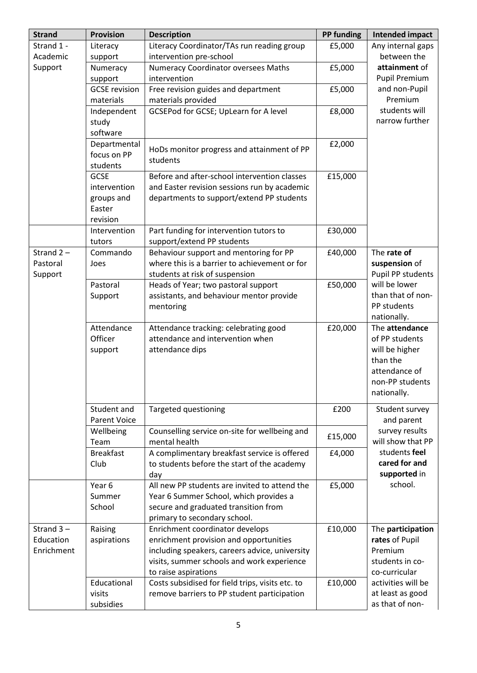| <b>Strand</b> | <b>Provision</b>     | <b>Description</b>                                                                      | <b>PP funding</b> | <b>Intended impact</b>             |
|---------------|----------------------|-----------------------------------------------------------------------------------------|-------------------|------------------------------------|
| Strand 1 -    | Literacy             | Literacy Coordinator/TAs run reading group                                              | £5,000            | Any internal gaps                  |
| Academic      | support              | intervention pre-school                                                                 |                   | between the                        |
| Support       | Numeracy             | Numeracy Coordinator oversees Maths                                                     | £5,000            | attainment of                      |
|               | support              | intervention                                                                            |                   | <b>Pupil Premium</b>               |
|               | <b>GCSE</b> revision | Free revision guides and department                                                     | £5,000            | and non-Pupil                      |
|               | materials            | materials provided                                                                      |                   | Premium                            |
|               | Independent          | <b>GCSEPod for GCSE; UpLearn for A level</b>                                            | £8,000            | students will                      |
|               | study                |                                                                                         |                   | narrow further                     |
|               | software             |                                                                                         |                   |                                    |
|               | Departmental         | HoDs monitor progress and attainment of PP                                              | £2,000            |                                    |
|               | focus on PP          | students                                                                                |                   |                                    |
|               | students             |                                                                                         |                   |                                    |
|               | <b>GCSE</b>          | Before and after-school intervention classes                                            | £15,000           |                                    |
|               | intervention         | and Easter revision sessions run by academic                                            |                   |                                    |
|               | groups and           | departments to support/extend PP students                                               |                   |                                    |
|               | Easter               |                                                                                         |                   |                                    |
|               | revision             |                                                                                         |                   |                                    |
|               | Intervention         | Part funding for intervention tutors to                                                 | £30,000           |                                    |
| Strand $2 -$  | tutors<br>Commando   | support/extend PP students                                                              |                   | The rate of                        |
|               |                      | Behaviour support and mentoring for PP<br>where this is a barrier to achievement or for | £40,000           |                                    |
| Pastoral      | Joes                 |                                                                                         |                   | suspension of                      |
| Support       | Pastoral             | students at risk of suspension                                                          | £50,000           | Pupil PP students<br>will be lower |
|               |                      | Heads of Year; two pastoral support                                                     |                   | than that of non-                  |
|               | Support              | assistants, and behaviour mentor provide<br>mentoring                                   |                   | PP students                        |
|               |                      |                                                                                         |                   | nationally.                        |
|               | Attendance           | Attendance tracking: celebrating good                                                   | £20,000           | The attendance                     |
|               | Officer              | attendance and intervention when                                                        |                   | of PP students                     |
|               | support              | attendance dips                                                                         |                   | will be higher                     |
|               |                      |                                                                                         |                   | than the                           |
|               |                      |                                                                                         |                   | attendance of                      |
|               |                      |                                                                                         |                   | non-PP students                    |
|               |                      |                                                                                         |                   | nationally.                        |
|               | Student and          | <b>Targeted questioning</b>                                                             | £200              | Student survey                     |
|               | <b>Parent Voice</b>  |                                                                                         |                   | and parent                         |
|               | Wellbeing            | Counselling service on-site for wellbeing and                                           |                   | survey results                     |
|               | Team                 | mental health                                                                           | £15,000           | will show that PP                  |
|               | <b>Breakfast</b>     | A complimentary breakfast service is offered                                            | £4,000            | students feel                      |
|               | Club                 | to students before the start of the academy                                             |                   | cared for and                      |
|               |                      | day                                                                                     |                   | supported in                       |
|               | Year 6               | All new PP students are invited to attend the                                           | £5,000            | school.                            |
|               | Summer               | Year 6 Summer School, which provides a                                                  |                   |                                    |
|               | School               | secure and graduated transition from                                                    |                   |                                    |
|               |                      | primary to secondary school.                                                            |                   |                                    |
| Strand $3 -$  | Raising              | Enrichment coordinator develops                                                         | £10,000           | The participation                  |
| Education     | aspirations          | enrichment provision and opportunities                                                  |                   | rates of Pupil                     |
| Enrichment    |                      | including speakers, careers advice, university                                          |                   | Premium                            |
|               |                      | visits, summer schools and work experience                                              |                   | students in co-                    |
|               |                      | to raise aspirations                                                                    |                   | co-curricular                      |
|               | Educational          | Costs subsidised for field trips, visits etc. to                                        | £10,000           | activities will be                 |
|               | visits               | remove barriers to PP student participation                                             |                   | at least as good                   |
|               | subsidies            |                                                                                         |                   | as that of non-                    |